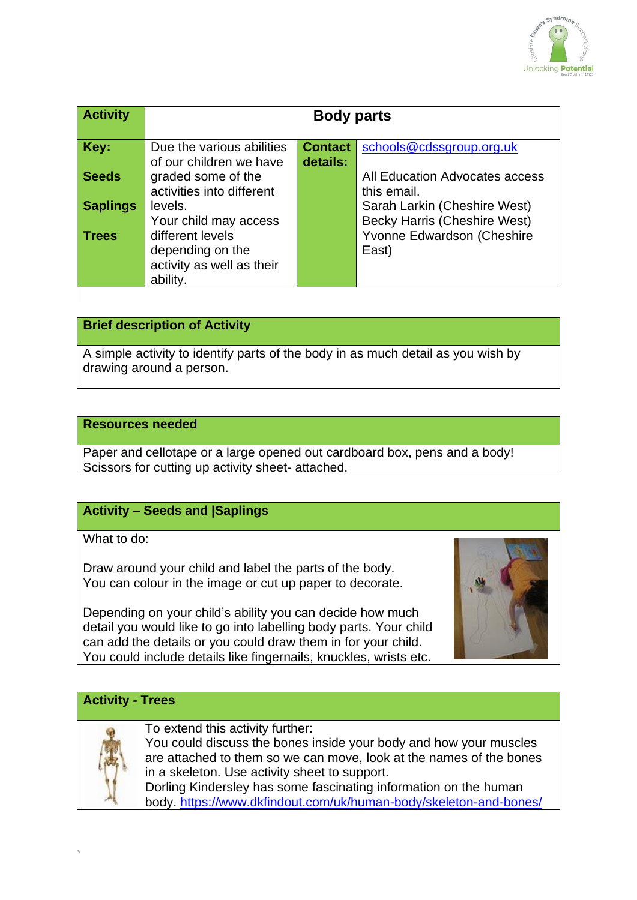

| <b>Activity</b> | <b>Body parts</b>                                                                          |                            |                                                                            |
|-----------------|--------------------------------------------------------------------------------------------|----------------------------|----------------------------------------------------------------------------|
| Key:            | Due the various abilities<br>of our children we have                                       | <b>Contact</b><br>details: | schools@cdssgroup.org.uk                                                   |
| <b>Seeds</b>    | graded some of the<br>activities into different                                            |                            | All Education Advocates access<br>this email.                              |
| <b>Saplings</b> | levels.                                                                                    |                            | Sarah Larkin (Cheshire West)                                               |
| <b>Trees</b>    | Your child may access<br>different levels<br>depending on the<br>activity as well as their |                            | <b>Becky Harris (Cheshire West)</b><br>Yvonne Edwardson (Cheshire<br>East) |
|                 | ability.                                                                                   |                            |                                                                            |

# **Brief description of Activity**

A simple activity to identify parts of the body in as much detail as you wish by drawing around a person.

#### **Resources needed**

Paper and cellotape or a large opened out cardboard box, pens and a body! Scissors for cutting up activity sheet- attached.

# **Activity – Seeds and |Saplings**

What to do:

Draw around your child and label the parts of the body. You can colour in the image or cut up paper to decorate.

Depending on your child's ability you can decide how much detail you would like to go into labelling body parts. Your child can add the details or you could draw them in for your child. You could include details like fingernails, knuckles, wrists etc.



### **Activity - Trees**



To extend this activity further:

You could discuss the bones inside your body and how your muscles are attached to them so we can move, look at the names of the bones in a skeleton. Use activity sheet to support. Dorling Kindersley has some fascinating information on the human body. <https://www.dkfindout.com/uk/human-body/skeleton-and-bones/>